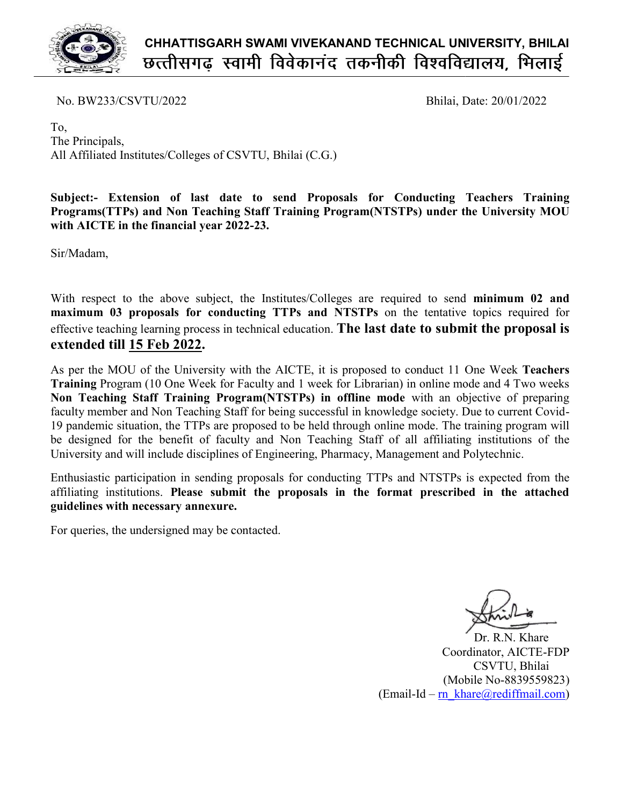

No. BW233/CSVTU/2022

Bhilai, Date: Date: 20/01/2022

To, The Principals, All Affiliated Institutes/Colleges of CSVTU, Bhilai (C.G.) Bhilai (C.G.)

Subject:- Extension of last date to send Proposals for Conducting Teachers Training Programs(TTPs) and Non Teaching Staff Training Program(NTSTPs) under the University MOU<br>with AICTE in the financial year 2022-23.<br>Sir/Madam,<br>With respect to the above subject, the Institutes/Colleges are required to send m with AICTE in the financial year 2022-23.

Sir/Madam,

With respect to the above subject, the Institutes/Colleges are required to send maximum 03 proposals for conducting TTPs and NTSTPs on the tentative topics required for effective teaching learning process in technical education. The last date to submit the proposal is extended till 15 Feb 2022.

As per the MOU of the University with the AICTE, it is proposed to conduct 11 One Week Teachers Training Program (10 One Week for Faculty and 1 week for Librarian) in online mode and 4 Two weeks Non Teaching Staff Training Program(NTSTPs) in offline mode with an objective of preparing faculty member and Non Teaching Staff for being successful in knowledge society. Due to current Covid-19 pandemic situation, the TTPs are proposed to be held through online mode. The training program will be designed for the benefit of faculty and Non Teaching Staff of all affiliating institutions of the University and will include disciplines of Engineering, Pharmacy, Management and Polytec y and 1 week for Librarian) in online mode and 4 Two weeks<br>**NTSTPs) in offline mode** with an objective of preparing<br>being successful in knowledge society. Due to current Covidde. The training prog<br>affiliating institution<br>ent and Polytechnic.

University and will include disciplines of Engineering, Pharmacy, Management and Polytechnic.<br>Enthusiastic participation in sending proposals for conducting TTPs and NTSTPs is expected from the affiliating institutions. Please submit the proposals in the format prescribed in the attached guidelines with necessary annexure. guidelines with necessary annexure

For queries, the undersigned may be contacted.

Coordinator, AICTE AICTE-FDP (Mobile No No-8839559823) (Email-Id – rn\_khare@rediffmail.com) Dr. R.N. Khare CSVTU, Bhilai